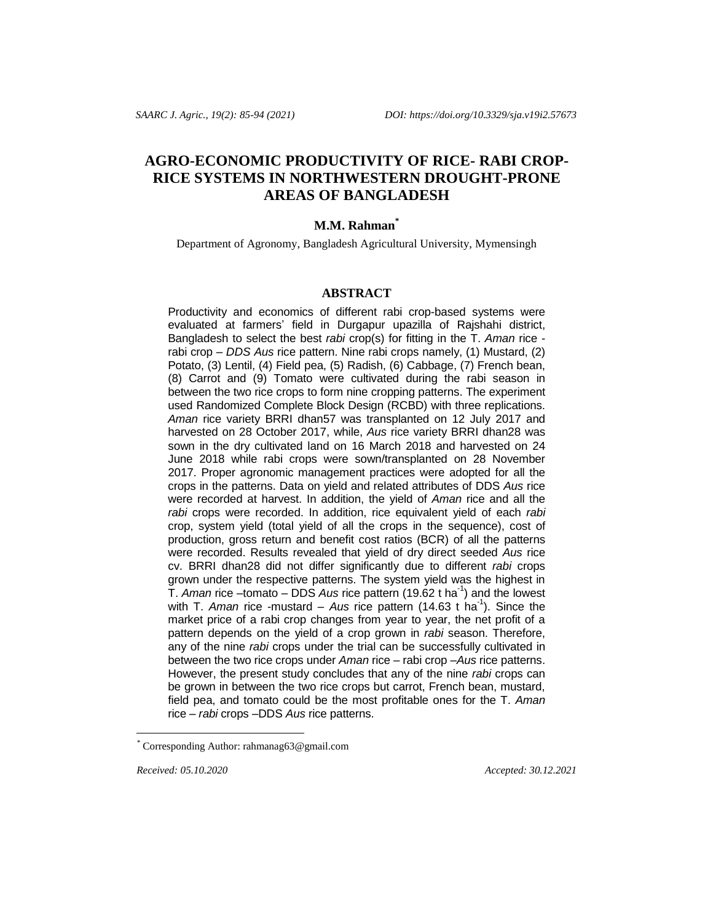# **AGRO-ECONOMIC PRODUCTIVITY OF RICE- RABI CROP-RICE SYSTEMS IN NORTHWESTERN DROUGHT-PRONE AREAS OF BANGLADESH**

## **M.M. Rahman\***

Department of Agronomy, Bangladesh Agricultural University, Mymensingh

#### **ABSTRACT**

Productivity and economics of different rabi crop-based systems were evaluated at farmers' field in Durgapur upazilla of Rajshahi district, Bangladesh to select the best *rabi* crop(s) for fitting in the T. *Aman* rice rabi crop – *DDS Aus* rice pattern. Nine rabi crops namely, (1) Mustard, (2) Potato, (3) Lentil, (4) Field pea, (5) Radish, (6) Cabbage, (7) French bean, (8) Carrot and (9) Tomato were cultivated during the rabi season in between the two rice crops to form nine cropping patterns. The experiment used Randomized Complete Block Design (RCBD) with three replications. *Aman* rice variety BRRI dhan57 was transplanted on 12 July 2017 and harvested on 28 October 2017, while, *Aus* rice variety BRRI dhan28 was sown in the dry cultivated land on 16 March 2018 and harvested on 24 June 2018 while rabi crops were sown/transplanted on 28 November 2017. Proper agronomic management practices were adopted for all the crops in the patterns. Data on yield and related attributes of DDS *Aus* rice were recorded at harvest. In addition, the yield of *Aman* rice and all the *rabi* crops were recorded. In addition, rice equivalent yield of each *rabi*  crop, system yield (total yield of all the crops in the sequence), cost of production, gross return and benefit cost ratios (BCR) of all the patterns were recorded. Results revealed that yield of dry direct seeded *Aus* rice cv. BRRI dhan28 did not differ significantly due to different *rabi* crops grown under the respective patterns. The system yield was the highest in T. *Aman* rice –tomato – DDS *Aus* rice pattern (19.62 t ha-1 ) and the lowest with T. Aman rice -mustard – Aus rice pattern (14.63 t ha<sup>-1</sup>). Since the market price of a rabi crop changes from year to year, the net profit of a pattern depends on the yield of a crop grown in *rabi* season. Therefore, any of the nine *rabi* crops under the trial can be successfully cultivated in between the two rice crops under *Aman* rice – rabi crop –*Aus* rice patterns. However, the present study concludes that any of the nine *rabi* crops can be grown in between the two rice crops but carrot, French bean, mustard, field pea, and tomato could be the most profitable ones for the T. *Aman* rice – *rabi* crops –DDS *Aus* rice patterns.

 $\overline{a}$ 

*Received: 05.10.2020 Accepted: 30.12.2021*

Corresponding Author[: rahmanag63@gmail.com](mailto:rahmanag63@gmail.com)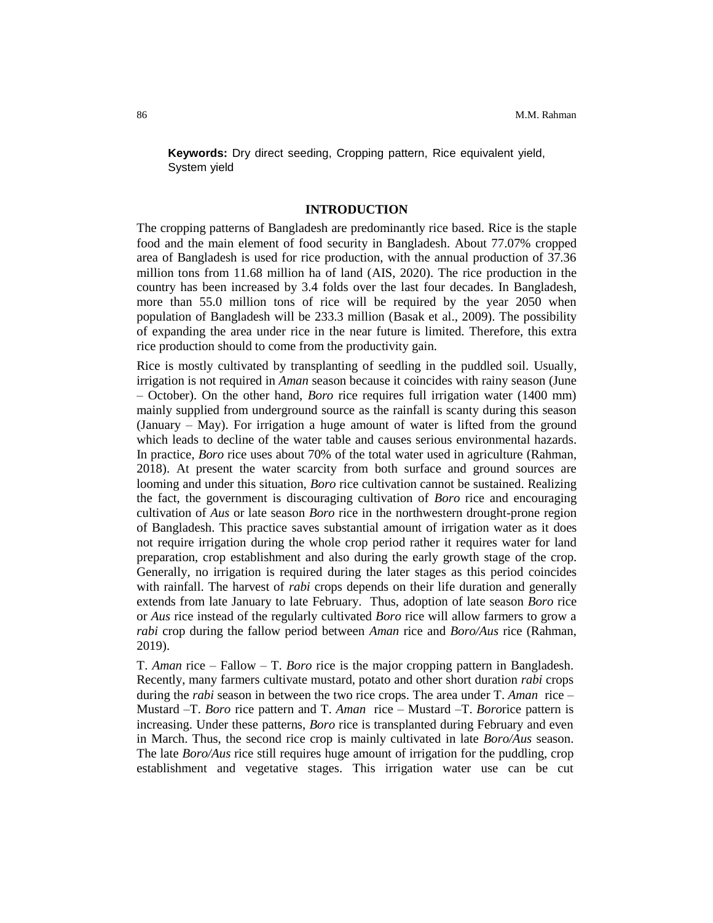**Keywords:** Dry direct seeding, Cropping pattern, Rice equivalent yield, System yield

#### **INTRODUCTION**

The cropping patterns of Bangladesh are predominantly rice based. Rice is the staple food and the main element of food security in Bangladesh. About 77.07% cropped area of Bangladesh is used for rice production, with the annual production of 37.36 million tons from 11.68 million ha of land (AIS, 2020). The rice production in the country has been increased by 3.4 folds over the last four decades. In Bangladesh, more than 55.0 million tons of rice will be required by the year 2050 when population of Bangladesh will be 233.3 million (Basak et al., 2009). The possibility of expanding the area under rice in the near future is limited. Therefore, this extra rice production should to come from the productivity gain.

Rice is mostly cultivated by transplanting of seedling in the puddled soil. Usually, irrigation is not required in *Aman* season because it coincides with rainy season (June – October). On the other hand, *Boro* rice requires full irrigation water (1400 mm) mainly supplied from underground source as the rainfall is scanty during this season (January – May). For irrigation a huge amount of water is lifted from the ground which leads to decline of the water table and causes serious environmental hazards. In practice, *Boro* rice uses about 70% of the total water used in agriculture (Rahman, 2018). At present the water scarcity from both surface and ground sources are looming and under this situation, *Boro* rice cultivation cannot be sustained. Realizing the fact, the government is discouraging cultivation of *Boro* rice and encouraging cultivation of *Aus* or late season *Boro* rice in the northwestern drought-prone region of Bangladesh. This practice saves substantial amount of irrigation water as it does not require irrigation during the whole crop period rather it requires water for land preparation, crop establishment and also during the early growth stage of the crop. Generally, no irrigation is required during the later stages as this period coincides with rainfall. The harvest of *rabi* crops depends on their life duration and generally extends from late January to late February. Thus, adoption of late season *Boro* rice or *Aus* rice instead of the regularly cultivated *Boro* rice will allow farmers to grow a *rabi* crop during the fallow period between *Aman* rice and *Boro/Aus* rice (Rahman, 2019).

T. *Aman* rice – Fallow – T. *Boro* rice is the major cropping pattern in Bangladesh. Recently, many farmers cultivate mustard, potato and other short duration *rabi* crops during the *rabi* season in between the two rice crops. The area under T. *Aman* rice – Mustard –T. *Boro* rice pattern and T. *Aman* rice – Mustard –T. *Boro*rice pattern is increasing. Under these patterns, *Boro* rice is transplanted during February and even in March. Thus, the second rice crop is mainly cultivated in late *Boro/Aus* season. The late *Boro/Aus* rice still requires huge amount of irrigation for the puddling, crop establishment and vegetative stages. This irrigation water use can be cut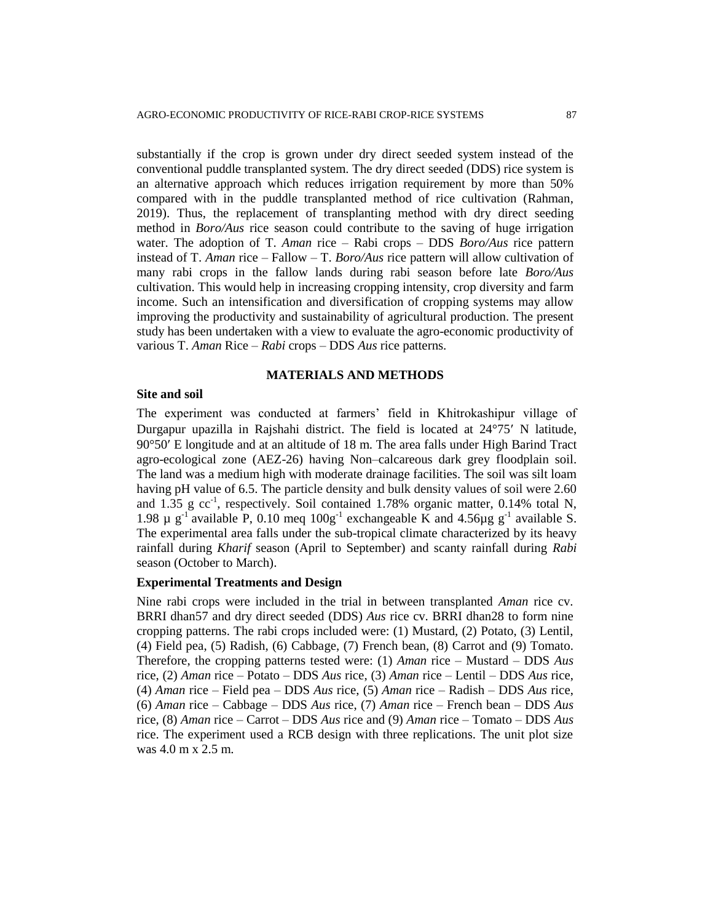substantially if the crop is grown under dry direct seeded system instead of the conventional puddle transplanted system. The dry direct seeded (DDS) rice system is an alternative approach which reduces irrigation requirement by more than 50% compared with in the puddle transplanted method of rice cultivation (Rahman, 2019). Thus, the replacement of transplanting method with dry direct seeding method in *Boro/Aus* rice season could contribute to the saving of huge irrigation water. The adoption of T. *Aman* rice – Rabi crops – DDS *Boro/Aus* rice pattern instead of T. *Aman* rice – Fallow – T. *Boro/Aus* rice pattern will allow cultivation of many rabi crops in the fallow lands during rabi season before late *Boro/Aus* cultivation. This would help in increasing cropping intensity, crop diversity and farm income. Such an intensification and diversification of cropping systems may allow improving the productivity and sustainability of agricultural production. The present study has been undertaken with a view to evaluate the agro-economic productivity of various T. *Aman* Rice – *Rabi* crops – DDS *Aus* rice patterns.

#### **MATERIALS AND METHODS**

#### **Site and soil**

The experiment was conducted at farmers' field in Khitrokashipur village of Durgapur upazilla in Rajshahi district. The field is located at 24°75' N latitude, 90°50 E longitude and at an altitude of 18 m. The area falls under High Barind Tract agro-ecological zone (AEZ-26) having Non–calcareous dark grey floodplain soil. The land was a medium high with moderate drainage facilities. The soil was silt loam having pH value of 6.5. The particle density and bulk density values of soil were 2.60 and 1.35 g cc<sup>-1</sup>, respectively. Soil contained 1.78% organic matter, 0.14% total N, 1.98  $\mu$  g<sup>-1</sup> available P, 0.10 meq 100g<sup>-1</sup> exchangeable K and 4.56 $\mu$ g g<sup>-1</sup> available S. The experimental area falls under the sub-tropical climate characterized by its heavy rainfall during *Kharif* season (April to September) and scanty rainfall during *Rabi* season (October to March).

## **Experimental Treatments and Design**

Nine rabi crops were included in the trial in between transplanted *Aman* rice cv. BRRI dhan57 and dry direct seeded (DDS) *Aus* rice cv. BRRI dhan28 to form nine cropping patterns. The rabi crops included were: (1) Mustard, (2) Potato, (3) Lentil, (4) Field pea, (5) Radish, (6) Cabbage, (7) French bean, (8) Carrot and (9) Tomato. Therefore, the cropping patterns tested were: (1) *Aman* rice – Mustard – DDS *Aus* rice, (2) *Aman* rice – Potato – DDS *Aus* rice, (3) *Aman* rice – Lentil – DDS *Aus* rice, (4) *Aman* rice – Field pea – DDS *Aus* rice, (5) *Aman* rice – Radish – DDS *Aus* rice, (6) *Aman* rice – Cabbage – DDS *Aus* rice, (7) *Aman* rice – French bean – DDS *Aus* rice, (8) *Aman* rice – Carrot – DDS *Aus* rice and (9) *Aman* rice – Tomato – DDS *Aus* rice. The experiment used a RCB design with three replications. The unit plot size was 4.0 m x 2.5 m.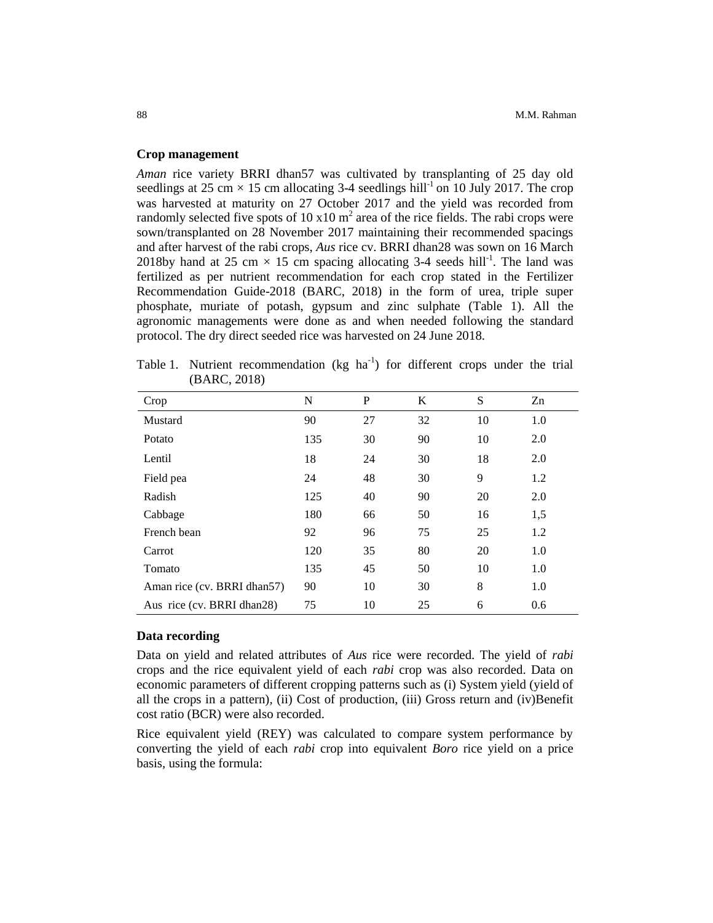#### **Crop management**

*Aman* rice variety BRRI dhan57 was cultivated by transplanting of 25 day old seedlings at 25 cm  $\times$  15 cm allocating 3-4 seedlings hill<sup>-1</sup> on 10 July 2017. The crop was harvested at maturity on 27 October 2017 and the yield was recorded from randomly selected five spots of 10  $\times$  10 m<sup>2</sup> area of the rice fields. The rabi crops were sown/transplanted on 28 November 2017 maintaining their recommended spacings and after harvest of the rabi crops, *Aus* rice cv. BRRI dhan28 was sown on 16 March 2018by hand at 25 cm  $\times$  15 cm spacing allocating 3-4 seeds hill<sup>-1</sup>. The land was fertilized as per nutrient recommendation for each crop stated in the Fertilizer Recommendation Guide-2018 (BARC, 2018) in the form of urea, triple super phosphate, muriate of potash, gypsum and zinc sulphate (Table 1). All the agronomic managements were done as and when needed following the standard protocol. The dry direct seeded rice was harvested on 24 June 2018.

| Crop                        | $\mathbf N$ | P  | K  | S     | Zn  |
|-----------------------------|-------------|----|----|-------|-----|
| Mustard                     | 90          | 27 | 32 | 10    | 1.0 |
| Potato                      | 135         | 30 | 90 | 10    | 2.0 |
| Lentil                      | 18          | 24 | 30 | 18    | 2.0 |
| Field pea                   | 24          | 48 | 30 | 9     | 1.2 |
| Radish                      | 125         | 40 | 90 | 20    | 2.0 |
| Cabbage                     | 180         | 66 | 50 | 16    | 1,5 |
| French bean                 | 92          | 96 | 75 | 25    | 1.2 |
| Carrot                      | 120         | 35 | 80 | 20    | 1.0 |
| Tomato                      | 135         | 45 | 50 | 10    | 1.0 |
| Aman rice (cv. BRRI dhan57) | 90          | 10 | 30 | $\,8$ | 1.0 |
| Aus rice (cv. BRRI dhan28)  | 75          | 10 | 25 | 6     | 0.6 |

Table 1. Nutrient recommendation  $(kg \ ha^{-1})$  for different crops under the trial (BARC, 2018)

#### **Data recording**

Data on yield and related attributes of *Aus* rice were recorded. The yield of *rabi*  crops and the rice equivalent yield of each *rabi* crop was also recorded. Data on economic parameters of different cropping patterns such as (i) System yield (yield of all the crops in a pattern), (ii) Cost of production, (iii) Gross return and (iv)Benefit cost ratio (BCR) were also recorded.

Rice equivalent yield (REY) was calculated to compare system performance by converting the yield of each *rabi* crop into equivalent *Boro* rice yield on a price basis, using the formula: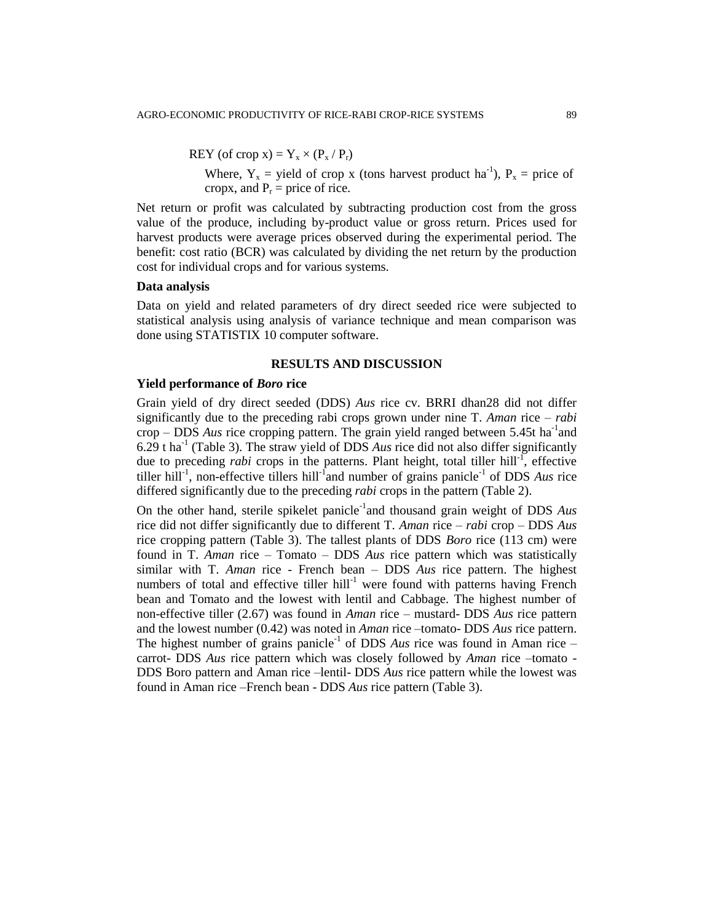REY (of crop  $x$ ) =  $Y_x \times (P_x / P_r)$ 

Where,  $Y_x$  = yield of crop x (tons harvest product ha<sup>-1</sup>),  $P_x$  = price of cropx, and  $P_r$  = price of rice.

Net return or profit was calculated by subtracting production cost from the gross value of the produce, including by-product value or gross return. Prices used for harvest products were average prices observed during the experimental period. The benefit: cost ratio (BCR) was calculated by dividing the net return by the production cost for individual crops and for various systems.

## **Data analysis**

Data on yield and related parameters of dry direct seeded rice were subjected to statistical analysis using analysis of variance technique and mean comparison was done using STATISTIX 10 computer software.

# **RESULTS AND DISCUSSION**

#### **Yield performance of** *Boro* **rice**

Grain yield of dry direct seeded (DDS) *Aus* rice cv. BRRI dhan28 did not differ significantly due to the preceding rabi crops grown under nine T. *Aman* rice – *rabi* crop – DDS *Aus* rice cropping pattern. The grain yield ranged between 5.45t ha<sup>-1</sup> and  $6.29$  t ha<sup>-1</sup> (Table 3). The straw yield of DDS  $\overline{A}$ us rice did not also differ significantly due to preceding *rabi* crops in the patterns. Plant height, total tiller hill<sup>-1</sup>, effective tiller hill<sup>-1</sup>, non-effective tillers hill<sup>-1</sup> and number of grains panicle<sup>-1</sup> of DDS *Aus* rice differed significantly due to the preceding *rabi* crops in the pattern (Table 2).

On the other hand, sterile spikelet panicle<sup>-1</sup>and thousand grain weight of DDS Aus rice did not differ significantly due to different T. *Aman* rice – *rabi* crop – DDS *Aus* rice cropping pattern (Table 3). The tallest plants of DDS *Boro* rice (113 cm) were found in T. *Aman* rice – Tomato – DDS *Aus* rice pattern which was statistically similar with T. *Aman* rice - French bean – DDS *Aus* rice pattern. The highest numbers of total and effective tiller hill<sup>-1</sup> were found with patterns having French bean and Tomato and the lowest with lentil and Cabbage. The highest number of non-effective tiller (2.67) was found in *Aman* rice – mustard- DDS *Aus* rice pattern and the lowest number (0.42) was noted in *Aman* rice –tomato- DDS *Aus* rice pattern. The highest number of grains panicle<sup>-1</sup> of DDS  $Aus$  rice was found in Aman rice – carrot- DDS *Aus* rice pattern which was closely followed by *Aman* rice –tomato - DDS Boro pattern and Aman rice –lentil- DDS *Aus* rice pattern while the lowest was found in Aman rice –French bean - DDS *Aus* rice pattern (Table 3).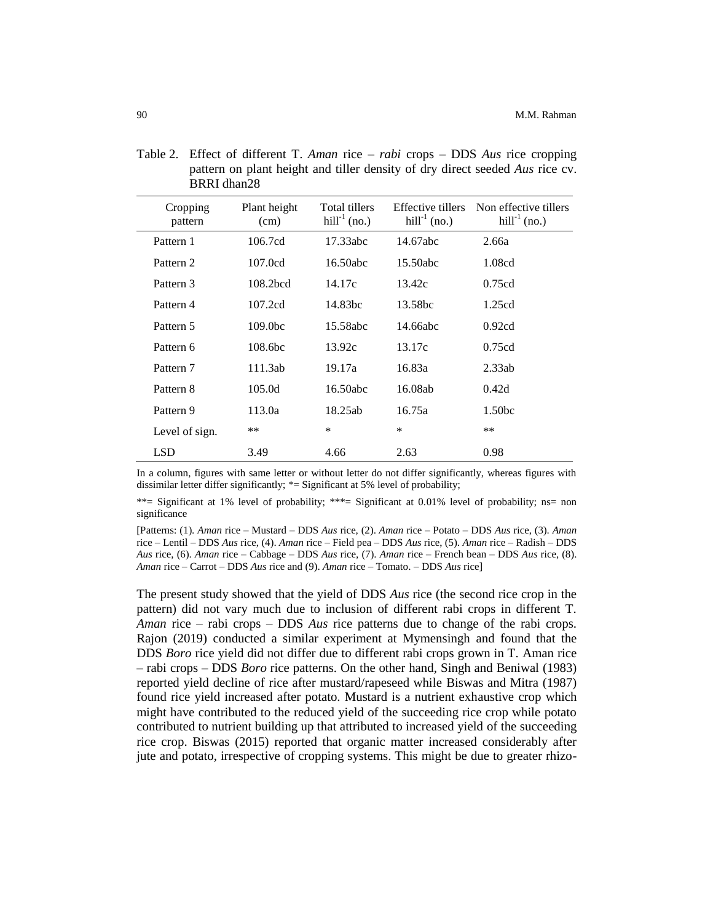| Cropping<br>pattern | Plant height<br>(cm) | Total tillers<br>$hill-1$ (no.) | Effective tillers<br>$\text{hill}^{-1}$ (no.) | Non effective tillers<br>$hill-1 (no.)$ |
|---------------------|----------------------|---------------------------------|-----------------------------------------------|-----------------------------------------|
| Pattern 1           | 106.7cd              | 17.33abc                        | 14.67abc                                      | 2.66а                                   |
| Pattern 2           | 107.0cd              | 16.50abc                        | 15.50abc                                      | 1.08cd                                  |
| Pattern 3           | 108.2 <sub>bcd</sub> | 14.17c                          | 13.42c                                        | 0.75cd                                  |
| Pattern 4           | 107.2cd              | 14.83bc                         | 13.58bc                                       | 1.25cd                                  |
| Pattern 5           | 109.0 <sub>bc</sub>  | 15.58abc                        | 14.66abc                                      | 0.92cd                                  |
| Pattern 6           | 108.6 <sub>bc</sub>  | 13.92c                          | 13.17c                                        | 0.75cd                                  |
| Pattern 7           | 111.3ab              | 19.17a                          | 16.83a                                        | 2.33ab                                  |
| Pattern 8           | 105.0d               | 16.50abc                        | 16.08ab                                       | 0.42d                                   |
| Pattern 9           | 113.0a               | 18.25ab                         | 16.75a                                        | 1.50 <sub>bc</sub>                      |
| Level of sign.      | $***$                | $\ast$                          | $\ast$                                        | $***$                                   |
| <b>LSD</b>          | 3.49                 | 4.66                            | 2.63                                          | 0.98                                    |

Table 2. Effect of different T. *Aman* rice – *rabi* crops – DDS *Aus* rice cropping pattern on plant height and tiller density of dry direct seeded *Aus* rice cv. BRRI dhan28

In a column, figures with same letter or without letter do not differ significantly, whereas figures with dissimilar letter differ significantly; \*= Significant at 5% level of probability;

\*\*= Significant at 1% level of probability; \*\*\*= Significant at 0.01% level of probability; ns= non significance

[Patterns: (1). *Aman* rice – Mustard – DDS *Aus* rice, (2). *Aman* rice – Potato – DDS *Aus* rice, (3). *Aman* rice – Lentil – DDS *Aus* rice, (4). *Aman* rice – Field pea – DDS *Aus* rice, (5). *Aman* rice – Radish – DDS *Aus* rice, (6). *Aman* rice – Cabbage – DDS *Aus* rice, (7). *Aman* rice – French bean – DDS *Aus* rice, (8). *Aman* rice – Carrot – DDS *Aus* rice and (9). *Aman* rice – Tomato. – DDS *Aus* rice]

The present study showed that the yield of DDS *Aus* rice (the second rice crop in the pattern) did not vary much due to inclusion of different rabi crops in different T. *Aman* rice – rabi crops – DDS *Aus* rice patterns due to change of the rabi crops. Rajon (2019) conducted a similar experiment at Mymensingh and found that the DDS *Boro* rice yield did not differ due to different rabi crops grown in T. Aman rice – rabi crops – DDS *Boro* rice patterns. On the other hand, Singh and Beniwal (1983) reported yield decline of rice after mustard/rapeseed while Biswas and Mitra (1987) found rice yield increased after potato. Mustard is a nutrient exhaustive crop which might have contributed to the reduced yield of the succeeding rice crop while potato contributed to nutrient building up that attributed to increased yield of the succeeding rice crop. Biswas (2015) reported that organic matter increased considerably after jute and potato, irrespective of cropping systems. This might be due to greater rhizo-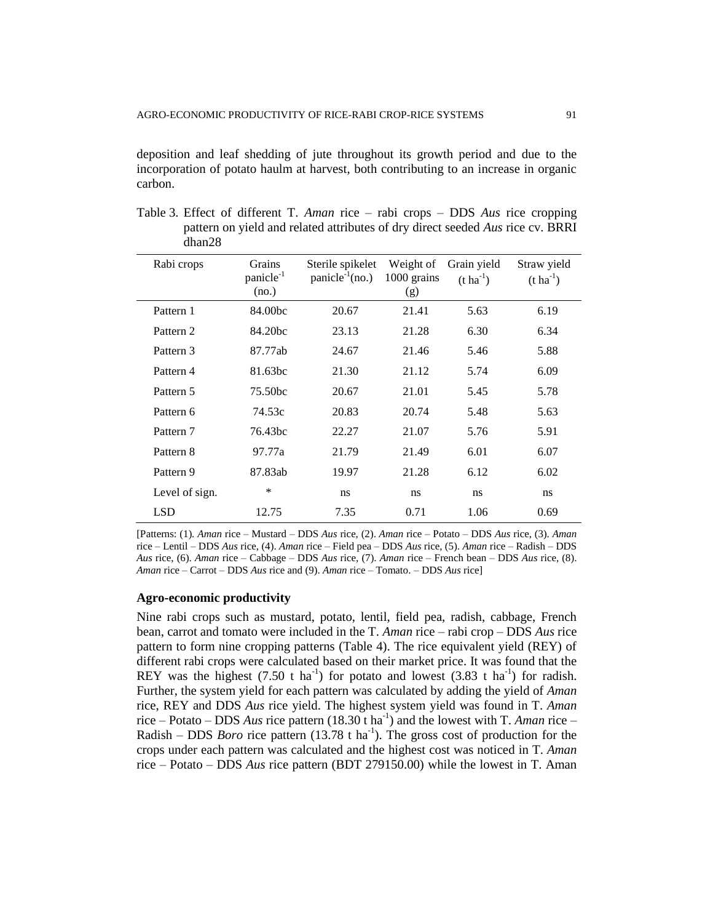deposition and leaf shedding of jute throughout its growth period and due to the incorporation of potato haulm at harvest, both contributing to an increase in organic carbon.

|        | Table 3. Effect of different T. Aman rice – rabi crops – DDS Aus rice cropping |  |  |  |  |  |
|--------|--------------------------------------------------------------------------------|--|--|--|--|--|
|        | pattern on yield and related attributes of dry direct seeded Aus rice cv. BRRI |  |  |  |  |  |
| dhan28 |                                                                                |  |  |  |  |  |

| Rabi crops     | Grains<br>panicle <sup>-1</sup><br>(no.) | Sterile spikelet<br>$panicle-1(no.)$ | Weight of<br>1000 grains<br>(g) | Grain yield<br>$(t \text{ ha}^{-1})$ | Straw yield<br>$(t \text{ ha}^{-1})$ |
|----------------|------------------------------------------|--------------------------------------|---------------------------------|--------------------------------------|--------------------------------------|
| Pattern 1      | 84.00bc                                  | 20.67                                | 21.41                           | 5.63                                 | 6.19                                 |
| Pattern 2      | 84.20bc                                  | 23.13                                | 21.28                           | 6.30                                 | 6.34                                 |
| Pattern 3      | 87.77ab                                  | 24.67                                | 21.46                           | 5.46                                 | 5.88                                 |
| Pattern 4      | 81.63 <sub>bc</sub>                      | 21.30                                | 21.12                           | 5.74                                 | 6.09                                 |
| Pattern 5      | 75.50bc                                  | 20.67                                | 21.01                           | 5.45                                 | 5.78                                 |
| Pattern 6      | 74.53c                                   | 20.83                                | 20.74                           | 5.48                                 | 5.63                                 |
| Pattern 7      | 76.43bc                                  | 22.27                                | 21.07                           | 5.76                                 | 5.91                                 |
| Pattern 8      | 97.77a                                   | 21.79                                | 21.49                           | 6.01                                 | 6.07                                 |
| Pattern 9      | 87.83ab                                  | 19.97                                | 21.28                           | 6.12                                 | 6.02                                 |
| Level of sign. | *                                        | ns.                                  | <sub>ns</sub>                   | <sub>ns</sub>                        | ns                                   |
| <b>LSD</b>     | 12.75                                    | 7.35                                 | 0.71                            | 1.06                                 | 0.69                                 |

[Patterns: (1). *Aman* rice – Mustard – DDS *Aus* rice, (2). *Aman* rice – Potato – DDS *Aus* rice, (3). *Aman* rice – Lentil – DDS *Aus* rice, (4). *Aman* rice – Field pea – DDS *Aus* rice, (5). *Aman* rice – Radish – DDS *Aus* rice, (6). *Aman* rice – Cabbage – DDS *Aus* rice, (7). *Aman* rice – French bean – DDS *Aus* rice, (8). *Aman* rice – Carrot – DDS *Aus* rice and (9). *Aman* rice – Tomato. – DDS *Aus* rice]

## **Agro-economic productivity**

Nine rabi crops such as mustard, potato, lentil, field pea, radish, cabbage, French bean, carrot and tomato were included in the T. *Aman* rice – rabi crop – DDS *Aus* rice pattern to form nine cropping patterns (Table 4). The rice equivalent yield (REY) of different rabi crops were calculated based on their market price. It was found that the REY was the highest  $(7.50 \text{ t} \text{ ha}^{-1})$  for potato and lowest  $(3.83 \text{ t} \text{ ha}^{-1})$  for radish. Further, the system yield for each pattern was calculated by adding the yield of *Aman* rice, REY and DDS *Aus* rice yield. The highest system yield was found in T. *Aman* rice – Potato – DDS *Aus* rice pattern (18.30 t ha<sup>-1</sup>) and the lowest with T. *Aman* rice – Radish – DDS *Boro* rice pattern  $(13.78 \text{ t ha}^{-1})$ . The gross cost of production for the crops under each pattern was calculated and the highest cost was noticed in T. *Aman* rice – Potato – DDS *Aus* rice pattern (BDT 279150.00) while the lowest in T. Aman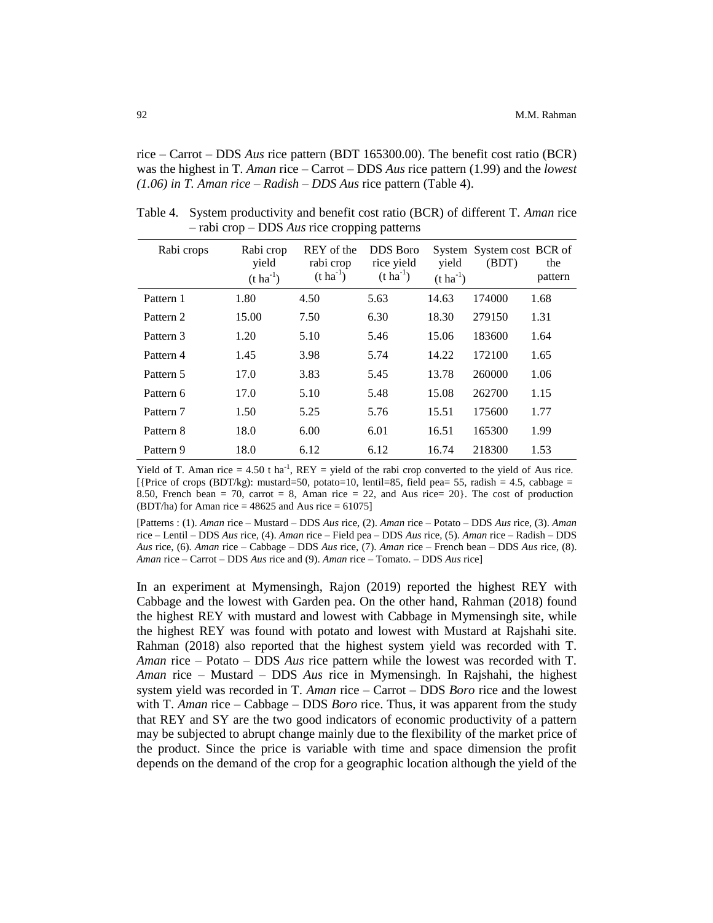rice – Carrot – DDS *Aus* rice pattern (BDT 165300.00). The benefit cost ratio (BCR) was the highest in T. *Aman* rice – Carrot – DDS *Aus* rice pattern (1.99) and the *lowest (1.06) in T. Aman rice – Radish – DDS Aus* rice pattern (Table 4).

Table 4. System productivity and benefit cost ratio (BCR) of different T. *Aman* rice – rabi crop – DDS *Aus* rice cropping patterns

| Rabi crops | Rabi crop<br>yield<br>$(t \, ha^{-1})$ | REY of the<br>rabi crop<br>$(t \text{ ha}^{-1})$ | <b>DDS</b> Boro<br>rice yield<br>$(t \text{ ha}^{-1})$ | yield<br>$(t \, ha^{-1})$ | System System cost BCR of<br>(BDT) | the<br>pattern |
|------------|----------------------------------------|--------------------------------------------------|--------------------------------------------------------|---------------------------|------------------------------------|----------------|
| Pattern 1  | 1.80                                   | 4.50                                             | 5.63                                                   | 14.63                     | 174000                             | 1.68           |
| Pattern 2  | 15.00                                  | 7.50                                             | 6.30                                                   | 18.30                     | 279150                             | 1.31           |
| Pattern 3  | 1.20                                   | 5.10                                             | 5.46                                                   | 15.06                     | 183600                             | 1.64           |
| Pattern 4  | 1.45                                   | 3.98                                             | 5.74                                                   | 14.22                     | 172100                             | 1.65           |
| Pattern 5  | 17.0                                   | 3.83                                             | 5.45                                                   | 13.78                     | 260000                             | 1.06           |
| Pattern 6  | 17.0                                   | 5.10                                             | 5.48                                                   | 15.08                     | 262700                             | 1.15           |
| Pattern 7  | 1.50                                   | 5.25                                             | 5.76                                                   | 15.51                     | 175600                             | 1.77           |
| Pattern 8  | 18.0                                   | 6.00                                             | 6.01                                                   | 16.51                     | 165300                             | 1.99           |
| Pattern 9  | 18.0                                   | 6.12                                             | 6.12                                                   | 16.74                     | 218300                             | 1.53           |

Yield of T. Aman rice  $= 4.50$  t ha<sup>-1</sup>, REY = yield of the rabi crop converted to the yield of Aus rice. [{Price of crops (BDT/kg): mustard=50, potato=10, lentil=85, field pea= 55, radish = 4.5, cabbage = 8.50, French bean = 70, carrot = 8, Aman rice = 22, and Aus rice =  $20$ }. The cost of production (BDT/ha) for Aman rice =  $48625$  and Aus rice =  $61075$ ]

[Patterns : (1). *Aman* rice – Mustard – DDS *Aus* rice, (2). *Aman* rice – Potato – DDS *Aus* rice, (3). *Aman* rice – Lentil – DDS *Aus* rice, (4). *Aman* rice – Field pea – DDS *Aus* rice, (5). *Aman* rice – Radish – DDS *Aus* rice, (6). *Aman* rice – Cabbage – DDS *Aus* rice, (7). *Aman* rice – French bean – DDS *Aus* rice, (8). *Aman* rice – Carrot – DDS *Aus* rice and (9). *Aman* rice – Tomato. – DDS *Aus* rice]

In an experiment at Mymensingh, Rajon (2019) reported the highest REY with Cabbage and the lowest with Garden pea. On the other hand, Rahman (2018) found the highest REY with mustard and lowest with Cabbage in Mymensingh site, while the highest REY was found with potato and lowest with Mustard at Rajshahi site. Rahman (2018) also reported that the highest system yield was recorded with T. *Aman* rice – Potato – DDS *Aus* rice pattern while the lowest was recorded with T. *Aman* rice – Mustard – DDS *Aus* rice in Mymensingh. In Rajshahi, the highest system yield was recorded in T. *Aman* rice – Carrot – DDS *Boro* rice and the lowest with T. *Aman* rice – Cabbage – DDS *Boro* rice. Thus, it was apparent from the study that REY and SY are the two good indicators of economic productivity of a pattern may be subjected to abrupt change mainly due to the flexibility of the market price of the product. Since the price is variable with time and space dimension the profit depends on the demand of the crop for a geographic location although the yield of the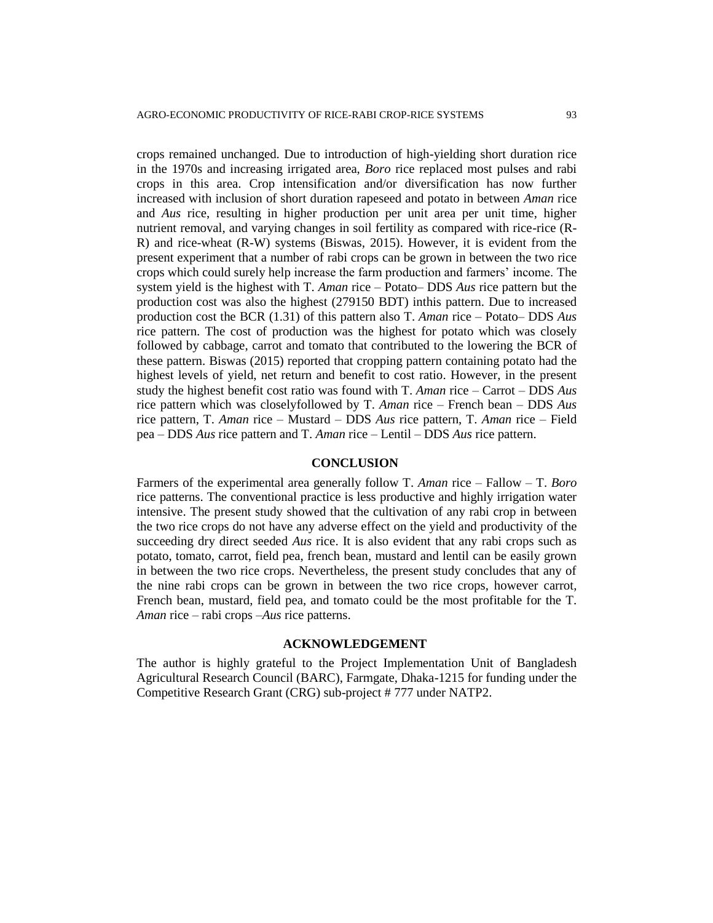crops remained unchanged. Due to introduction of high-yielding short duration rice in the 1970s and increasing irrigated area, *Boro* rice replaced most pulses and rabi crops in this area. Crop intensification and/or diversification has now further increased with inclusion of short duration rapeseed and potato in between *Aman* rice and *Aus* rice, resulting in higher production per unit area per unit time, higher nutrient removal, and varying changes in soil fertility as compared with rice-rice (R-R) and rice-wheat (R-W) systems (Biswas, 2015). However, it is evident from the present experiment that a number of rabi crops can be grown in between the two rice crops which could surely help increase the farm production and farmers' income. The system yield is the highest with T. *Aman* rice – Potato– DDS *Aus* rice pattern but the production cost was also the highest (279150 BDT) inthis pattern. Due to increased production cost the BCR (1.31) of this pattern also T. *Aman* rice – Potato– DDS *Aus* rice pattern. The cost of production was the highest for potato which was closely followed by cabbage, carrot and tomato that contributed to the lowering the BCR of these pattern. Biswas (2015) reported that cropping pattern containing potato had the highest levels of yield, net return and benefit to cost ratio. However, in the present study the highest benefit cost ratio was found with T. *Aman* rice – Carrot – DDS *Aus* rice pattern which was closelyfollowed by T. *Aman* rice – French bean – DDS *Aus* rice pattern, T. *Aman* rice – Mustard – DDS *Aus* rice pattern, T. *Aman* rice – Field pea – DDS *Aus* rice pattern and T. *Aman* rice – Lentil – DDS *Aus* rice pattern.

#### **CONCLUSION**

Farmers of the experimental area generally follow T. *Aman* rice – Fallow – T. *Boro* rice patterns. The conventional practice is less productive and highly irrigation water intensive. The present study showed that the cultivation of any rabi crop in between the two rice crops do not have any adverse effect on the yield and productivity of the succeeding dry direct seeded *Aus* rice. It is also evident that any rabi crops such as potato, tomato, carrot, field pea, french bean, mustard and lentil can be easily grown in between the two rice crops. Nevertheless, the present study concludes that any of the nine rabi crops can be grown in between the two rice crops, however carrot, French bean, mustard, field pea, and tomato could be the most profitable for the T. *Aman* rice – rabi crops –*Aus* rice patterns.

#### **ACKNOWLEDGEMENT**

The author is highly grateful to the Project Implementation Unit of Bangladesh Agricultural Research Council (BARC), Farmgate, Dhaka-1215 for funding under the Competitive Research Grant (CRG) sub-project # 777 under NATP2.